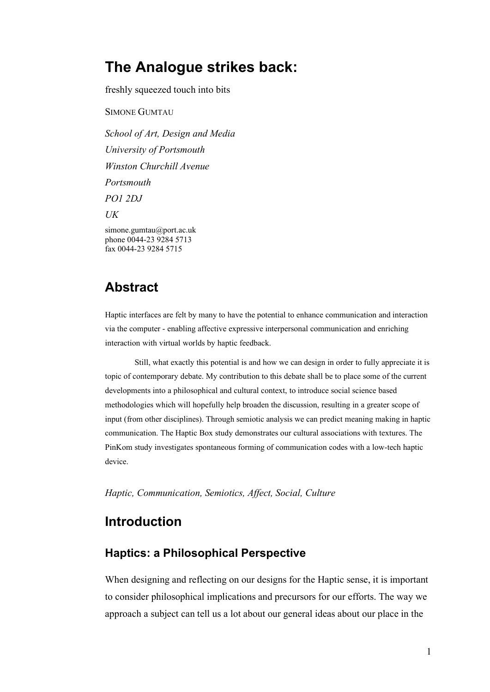# **The Analogue strikes back:**

freshly squeezed touch into bits

SIMONE GUMTAU

*School of Art, Design and Media University of Portsmouth Winston Churchill Avenue Portsmouth PO1 2DJ UK* simone.gumtau@port.ac.uk phone 0044-23 9284 5713 fax 0044-23 9284 5715

# **Abstract**

Haptic interfaces are felt by many to have the potential to enhance communication and interaction via the computer - enabling affective expressive interpersonal communication and enriching interaction with virtual worlds by haptic feedback.

Still, what exactly this potential is and how we can design in order to fully appreciate it is topic of contemporary debate. My contribution to this debate shall be to place some of the current developments into a philosophical and cultural context, to introduce social science based methodologies which will hopefully help broaden the discussion, resulting in a greater scope of input (from other disciplines). Through semiotic analysis we can predict meaning making in haptic communication. The Haptic Box study demonstrates our cultural associations with textures. The PinKom study investigates spontaneous forming of communication codes with a low-tech haptic device.

*Haptic, Communication, Semiotics, Affect, Social, Culture*

# **Introduction**

## **Haptics: a Philosophical Perspective**

When designing and reflecting on our designs for the Haptic sense, it is important to consider philosophical implications and precursors for our efforts. The way we approach a subject can tell us a lot about our general ideas about our place in the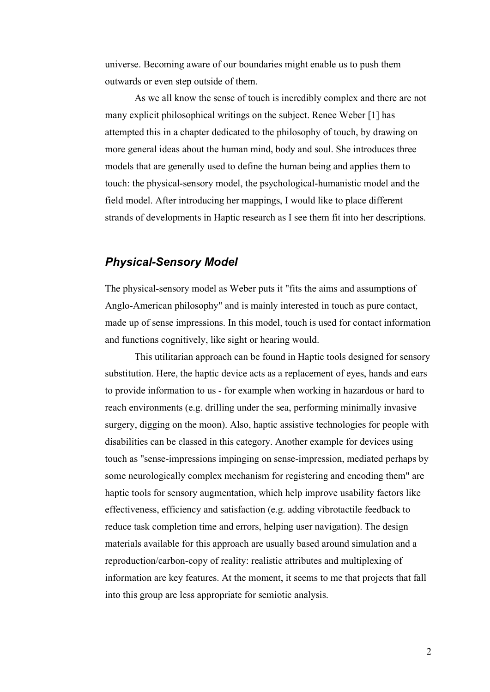universe. Becoming aware of our boundaries might enable us to push them outwards or even step outside of them.

As we all know the sense of touch is incredibly complex and there are not many explicit philosophical writings on the subject. Renee Weber [1] has attempted this in a chapter dedicated to the philosophy of touch, by drawing on more general ideas about the human mind, body and soul. She introduces three models that are generally used to define the human being and applies them to touch: the physical-sensory model, the psychological-humanistic model and the field model. After introducing her mappings, I would like to place different strands of developments in Haptic research as I see them fit into her descriptions.

### *Physical-Sensory Model*

The physical-sensory model as Weber puts it "fits the aims and assumptions of Anglo-American philosophy" and is mainly interested in touch as pure contact, made up of sense impressions. In this model, touch is used for contact information and functions cognitively, like sight or hearing would.

This utilitarian approach can be found in Haptic tools designed for sensory substitution. Here, the haptic device acts as a replacement of eyes, hands and ears to provide information to us - for example when working in hazardous or hard to reach environments (e.g. drilling under the sea, performing minimally invasive surgery, digging on the moon). Also, haptic assistive technologies for people with disabilities can be classed in this category. Another example for devices using touch as "sense-impressions impinging on sense-impression, mediated perhaps by some neurologically complex mechanism for registering and encoding them" are haptic tools for sensory augmentation, which help improve usability factors like effectiveness, efficiency and satisfaction (e.g. adding vibrotactile feedback to reduce task completion time and errors, helping user navigation). The design materials available for this approach are usually based around simulation and a reproduction/carbon-copy of reality: realistic attributes and multiplexing of information are key features. At the moment, it seems to me that projects that fall into this group are less appropriate for semiotic analysis.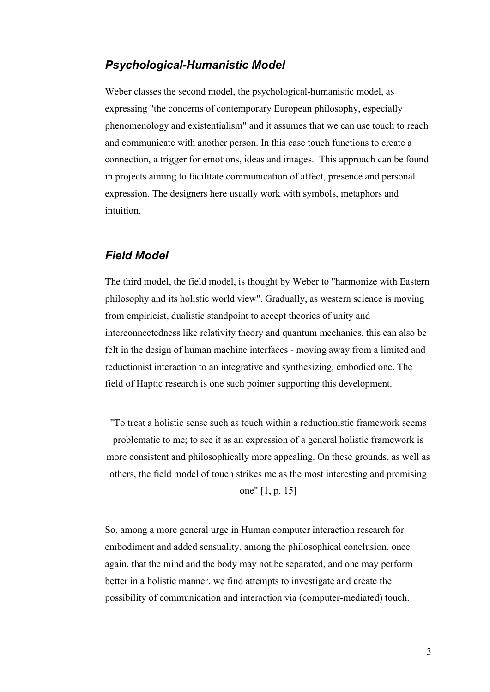### *Psychological-Humanistic Model*

Weber classes the second model, the psychological-humanistic model, as expressing "the concerns of contemporary European philosophy, especially phenomenology and existentialism" and it assumes that we can use touch to reach and communicate with another person. In this case touch functions to create a connection, a trigger for emotions, ideas and images. This approach can be found in projects aiming to facilitate communication of affect, presence and personal expression. The designers here usually work with symbols, metaphors and intuition.

### *Field Model*

The third model, the field model, is thought by Weber to "harmonize with Eastern philosophy and its holistic world view". Gradually, as western science is moving from empiricist, dualistic standpoint to accept theories of unity and interconnectedness like relativity theory and quantum mechanics, this can also be felt in the design of human machine interfaces - moving away from a limited and reductionist interaction to an integrative and synthesizing, embodied one. The field of Haptic research is one such pointer supporting this development.

"To treat a holistic sense such as touch within a reductionistic framework seems problematic to me; to see it as an expression of a general holistic framework is more consistent and philosophically more appealing. On these grounds, as well as others, the field model of touch strikes me as the most interesting and promising one" [1, p. 15]

So, among a more general urge in Human computer interaction research for embodiment and added sensuality, among the philosophical conclusion, once again, that the mind and the body may not be separated, and one may perform better in a holistic manner, we find attempts to investigate and create the possibility of communication and interaction via (computer-mediated) touch.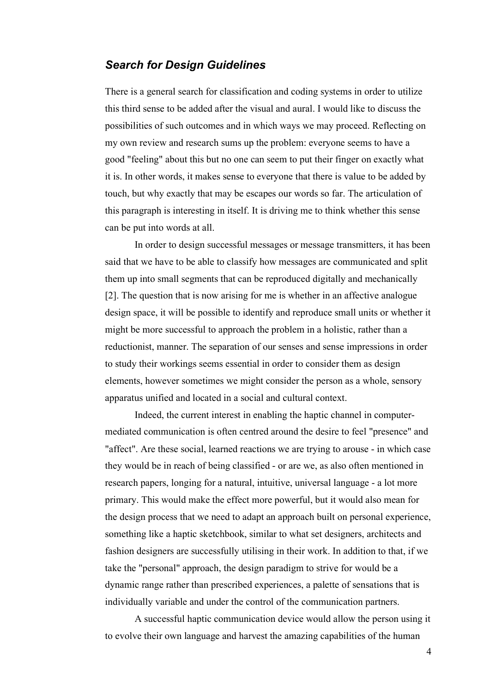### *Search for Design Guidelines*

There is a general search for classification and coding systems in order to utilize this third sense to be added after the visual and aural. I would like to discuss the possibilities of such outcomes and in which ways we may proceed. Reflecting on my own review and research sums up the problem: everyone seems to have a good "feeling" about this but no one can seem to put their finger on exactly what it is. In other words, it makes sense to everyone that there is value to be added by touch, but why exactly that may be escapes our words so far. The articulation of this paragraph is interesting in itself. It is driving me to think whether this sense can be put into words at all.

 In order to design successful messages or message transmitters, it has been said that we have to be able to classify how messages are communicated and split them up into small segments that can be reproduced digitally and mechanically [2]. The question that is now arising for me is whether in an affective analogue design space, it will be possible to identify and reproduce small units or whether it might be more successful to approach the problem in a holistic, rather than a reductionist, manner. The separation of our senses and sense impressions in order to study their workings seems essential in order to consider them as design elements, however sometimes we might consider the person as a whole, sensory apparatus unified and located in a social and cultural context.

Indeed, the current interest in enabling the haptic channel in computermediated communication is often centred around the desire to feel "presence" and "affect". Are these social, learned reactions we are trying to arouse - in which case they would be in reach of being classified - or are we, as also often mentioned in research papers, longing for a natural, intuitive, universal language - a lot more primary. This would make the effect more powerful, but it would also mean for the design process that we need to adapt an approach built on personal experience, something like a haptic sketchbook, similar to what set designers, architects and fashion designers are successfully utilising in their work. In addition to that, if we take the "personal" approach, the design paradigm to strive for would be a dynamic range rather than prescribed experiences, a palette of sensations that is individually variable and under the control of the communication partners.

A successful haptic communication device would allow the person using it to evolve their own language and harvest the amazing capabilities of the human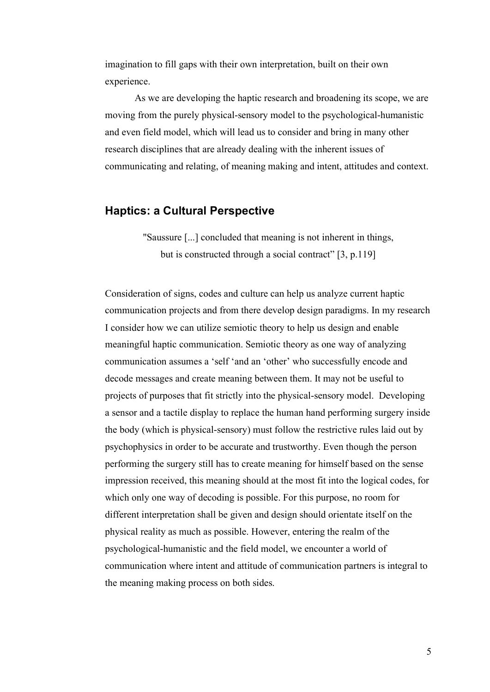imagination to fill gaps with their own interpretation, built on their own experience.

As we are developing the haptic research and broadening its scope, we are moving from the purely physical-sensory model to the psychological-humanistic and even field model, which will lead us to consider and bring in many other research disciplines that are already dealing with the inherent issues of communicating and relating, of meaning making and intent, attitudes and context.

### **Haptics: a Cultural Perspective**

"Saussure [...] concluded that meaning is not inherent in things, but is constructed through a social contract" [3, p.119]

Consideration of signs, codes and culture can help us analyze current haptic communication projects and from there develop design paradigms. In my research I consider how we can utilize semiotic theory to help us design and enable meaningful haptic communication. Semiotic theory as one way of analyzing communication assumes a 'self 'and an 'other' who successfully encode and decode messages and create meaning between them. It may not be useful to projects of purposes that fit strictly into the physical-sensory model. Developing a sensor and a tactile display to replace the human hand performing surgery inside the body (which is physical-sensory) must follow the restrictive rules laid out by psychophysics in order to be accurate and trustworthy. Even though the person performing the surgery still has to create meaning for himself based on the sense impression received, this meaning should at the most fit into the logical codes, for which only one way of decoding is possible. For this purpose, no room for different interpretation shall be given and design should orientate itself on the physical reality as much as possible. However, entering the realm of the psychological-humanistic and the field model, we encounter a world of communication where intent and attitude of communication partners is integral to the meaning making process on both sides.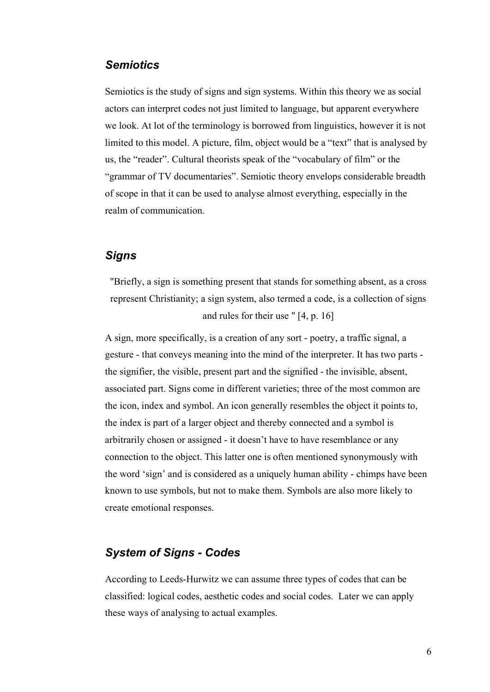## *Semiotics*

Semiotics is the study of signs and sign systems. Within this theory we as social actors can interpret codes not just limited to language, but apparent everywhere we look. At lot of the terminology is borrowed from linguistics, however it is not limited to this model. A picture, film, object would be a "text" that is analysed by us, the "reader". Cultural theorists speak of the "vocabulary of film" or the "grammar of TV documentaries". Semiotic theory envelops considerable breadth of scope in that it can be used to analyse almost everything, especially in the realm of communication.

## *Signs*

"Briefly, a sign is something present that stands for something absent, as a cross represent Christianity; a sign system, also termed a code, is a collection of signs and rules for their use " [4, p. 16]

A sign, more specifically, is a creation of any sort - poetry, a traffic signal, a gesture - that conveys meaning into the mind of the interpreter. It has two parts the signifier, the visible, present part and the signified - the invisible, absent, associated part. Signs come in different varieties; three of the most common are the icon, index and symbol. An icon generally resembles the object it points to, the index is part of a larger object and thereby connected and a symbol is arbitrarily chosen or assigned - it doesn't have to have resemblance or any connection to the object. This latter one is often mentioned synonymously with the word 'sign' and is considered as a uniquely human ability - chimps have been known to use symbols, but not to make them. Symbols are also more likely to create emotional responses.

## *System of Signs - Codes*

According to Leeds-Hurwitz we can assume three types of codes that can be classified: logical codes, aesthetic codes and social codes. Later we can apply these ways of analysing to actual examples.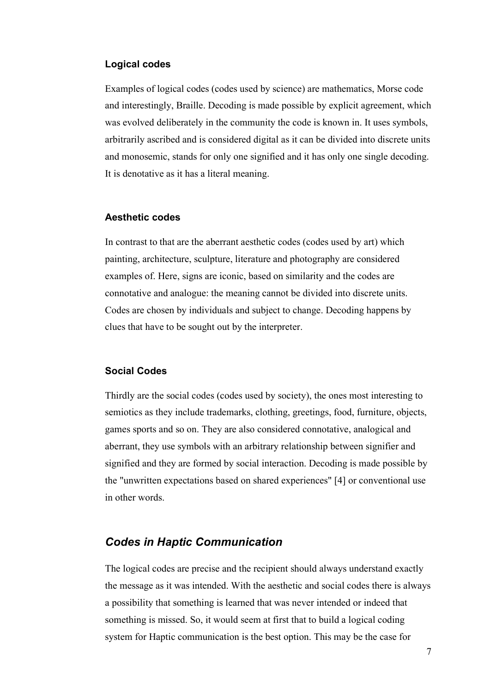### **Logical codes**

Examples of logical codes (codes used by science) are mathematics, Morse code and interestingly, Braille. Decoding is made possible by explicit agreement, which was evolved deliberately in the community the code is known in. It uses symbols, arbitrarily ascribed and is considered digital as it can be divided into discrete units and monosemic, stands for only one signified and it has only one single decoding. It is denotative as it has a literal meaning.

### **Aesthetic codes**

In contrast to that are the aberrant aesthetic codes (codes used by art) which painting, architecture, sculpture, literature and photography are considered examples of. Here, signs are iconic, based on similarity and the codes are connotative and analogue: the meaning cannot be divided into discrete units. Codes are chosen by individuals and subject to change. Decoding happens by clues that have to be sought out by the interpreter.

### **Social Codes**

Thirdly are the social codes (codes used by society), the ones most interesting to semiotics as they include trademarks, clothing, greetings, food, furniture, objects, games sports and so on. They are also considered connotative, analogical and aberrant, they use symbols with an arbitrary relationship between signifier and signified and they are formed by social interaction. Decoding is made possible by the "unwritten expectations based on shared experiences" [4] or conventional use in other words.

# *Codes in Haptic Communication*

The logical codes are precise and the recipient should always understand exactly the message as it was intended. With the aesthetic and social codes there is always a possibility that something is learned that was never intended or indeed that something is missed. So, it would seem at first that to build a logical coding system for Haptic communication is the best option. This may be the case for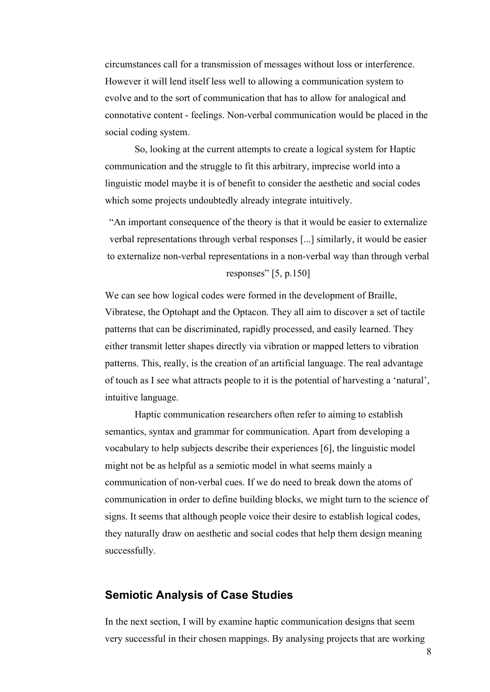circumstances call for a transmission of messages without loss or interference. However it will lend itself less well to allowing a communication system to evolve and to the sort of communication that has to allow for analogical and connotative content - feelings. Non-verbal communication would be placed in the social coding system.

So, looking at the current attempts to create a logical system for Haptic communication and the struggle to fit this arbitrary, imprecise world into a linguistic model maybe it is of benefit to consider the aesthetic and social codes which some projects undoubtedly already integrate intuitively.

"An important consequence of the theory is that it would be easier to externalize verbal representations through verbal responses [...] similarly, it would be easier to externalize non-verbal representations in a non-verbal way than through verbal responses" [5, p.150]

We can see how logical codes were formed in the development of Braille, Vibratese, the Optohapt and the Optacon. They all aim to discover a set of tactile patterns that can be discriminated, rapidly processed, and easily learned. They either transmit letter shapes directly via vibration or mapped letters to vibration patterns. This, really, is the creation of an artificial language. The real advantage of touch as I see what attracts people to it is the potential of harvesting a 'natural', intuitive language.

Haptic communication researchers often refer to aiming to establish semantics, syntax and grammar for communication. Apart from developing a vocabulary to help subjects describe their experiences [6], the linguistic model might not be as helpful as a semiotic model in what seems mainly a communication of non-verbal cues. If we do need to break down the atoms of communication in order to define building blocks, we might turn to the science of signs. It seems that although people voice their desire to establish logical codes, they naturally draw on aesthetic and social codes that help them design meaning successfully.

### **Semiotic Analysis of Case Studies**

In the next section, I will by examine haptic communication designs that seem very successful in their chosen mappings. By analysing projects that are working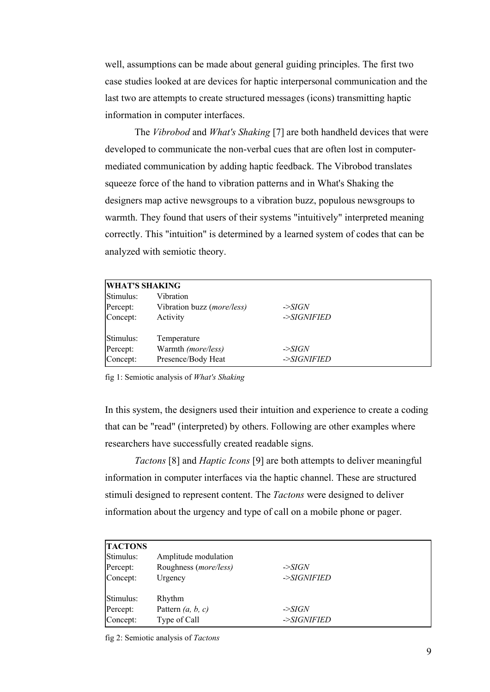well, assumptions can be made about general guiding principles. The first two case studies looked at are devices for haptic interpersonal communication and the last two are attempts to create structured messages (icons) transmitting haptic information in computer interfaces.

The *Vibrobod* and *What's Shaking* [7] are both handheld devices that were developed to communicate the non-verbal cues that are often lost in computermediated communication by adding haptic feedback. The Vibrobod translates squeeze force of the hand to vibration patterns and in What's Shaking the designers map active newsgroups to a vibration buzz, populous newsgroups to warmth. They found that users of their systems "intuitively" interpreted meaning correctly. This "intuition" is determined by a learned system of codes that can be analyzed with semiotic theory.

| <b>WHAT'S SHAKING</b> |                                                  |                    |  |
|-----------------------|--------------------------------------------------|--------------------|--|
| Stimulus:<br>Percept: | Vibration<br>Vibration buzz ( <i>more/less</i> ) | $\rightarrow$ SIGN |  |
| Concept:              | Activity                                         | ->SIGNIFIED        |  |
| Stimulus:             | Temperature                                      |                    |  |
| Percept:              | Warmth (more/less)                               | $\rightarrow$ SIGN |  |
| Concept:              | Presence/Body Heat                               | ->SIGNIFIED        |  |

fig 1: Semiotic analysis of *What's Shaking*

In this system, the designers used their intuition and experience to create a coding that can be "read" (interpreted) by others. Following are other examples where researchers have successfully created readable signs.

*Tactons* [8] and *Haptic Icons* [9] are both attempts to deliver meaningful information in computer interfaces via the haptic channel. These are structured stimuli designed to represent content. The *Tactons* were designed to deliver information about the urgency and type of call on a mobile phone or pager.

| <b>TACTONS</b>        |                                                        |                    |  |
|-----------------------|--------------------------------------------------------|--------------------|--|
| Stimulus:<br>Percept: | Amplitude modulation<br>Roughness ( <i>more/less</i> ) | $\rightarrow$ SIGN |  |
| Concept:              | Urgency                                                | ->SIGNIFIED        |  |
| Stimulus:             | Rhythm                                                 |                    |  |
| Percept:              | Pattern $(a, b, c)$                                    | $\rightarrow$ SIGN |  |
| Concept:              | Type of Call                                           | ->SIGNIFIED        |  |

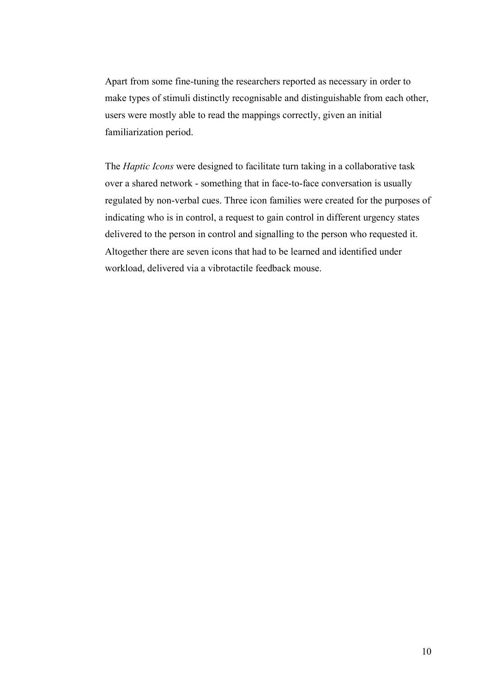Apart from some fine-tuning the researchers reported as necessary in order to make types of stimuli distinctly recognisable and distinguishable from each other, users were mostly able to read the mappings correctly, given an initial familiarization period.

The *Haptic Icons* were designed to facilitate turn taking in a collaborative task over a shared network - something that in face-to-face conversation is usually regulated by non-verbal cues. Three icon families were created for the purposes of indicating who is in control, a request to gain control in different urgency states delivered to the person in control and signalling to the person who requested it. Altogether there are seven icons that had to be learned and identified under workload, delivered via a vibrotactile feedback mouse.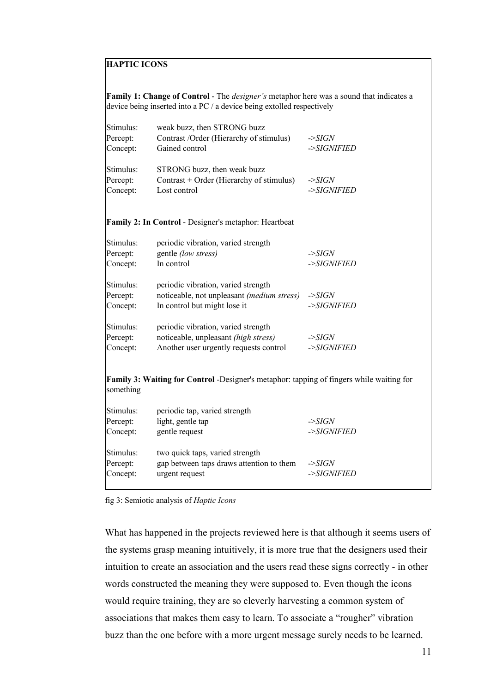### **HAPTIC ICONS**

**Family 1: Change of Control** - The *designer's* metaphor here was a sound that indicates a device being inserted into a PC / a device being extolled respectively

| Stimulus:<br>Percept:<br>Concept: | weak buzz, then STRONG buzz<br>Contrast /Order (Hierarchy of stimulus)<br>Gained control                              | ->SIGN<br>->SIGNIFIED                           |
|-----------------------------------|-----------------------------------------------------------------------------------------------------------------------|-------------------------------------------------|
| Stimulus:<br>Percept:<br>Concept: | STRONG buzz, then weak buzz<br>Contrast + Order (Hierarchy of stimulus)<br>Lost control                               | ->SIGN<br>->SIGNIFIED                           |
|                                   | <b>Family 2: In Control - Designer's metaphor: Heartbeat</b>                                                          |                                                 |
| Stimulus:<br>Percept:<br>Concept: | periodic vibration, varied strength<br>gentle (low stress)<br>In control                                              | $\ensuremath{\Rightarrow}$ SIGN<br>$-SIGNIFIED$ |
| Stimulus:<br>Percept:<br>Concept: | periodic vibration, varied strength<br>noticeable, not unpleasant (medium stress)<br>In control but might lose it     | $\ensuremath{\textit{--SIGN}}$<br>->SIGNIFIED   |
| Stimulus:<br>Percept:<br>Concept: | periodic vibration, varied strength<br>noticeable, unpleasant (high stress)<br>Another user urgently requests control | $\ensuremath{\textit{--SIGN}}$<br>$-SIGNIFIED$  |
| something                         | <b>Family 3: Waiting for Control</b> -Designer's metaphor: tapping of fingers while waiting for                       |                                                 |
| Stimulus:<br>Percept:<br>Concept: | periodic tap, varied strength<br>light, gentle tap<br>gentle request                                                  | $-SIGN$<br>$-SIGNIFIED$                         |
| Stimulus:<br>Percept:             | two quick taps, varied strength<br>gap between taps draws attention to them                                           | $-SIGN$                                         |

fig 3: Semiotic analysis of *Haptic Icons*

What has happened in the projects reviewed here is that although it seems users of the systems grasp meaning intuitively, it is more true that the designers used their intuition to create an association and the users read these signs correctly - in other words constructed the meaning they were supposed to. Even though the icons would require training, they are so cleverly harvesting a common system of associations that makes them easy to learn. To associate a "rougher" vibration buzz than the one before with a more urgent message surely needs to be learned.

Concept: urgent request ->*SIGNIFIED*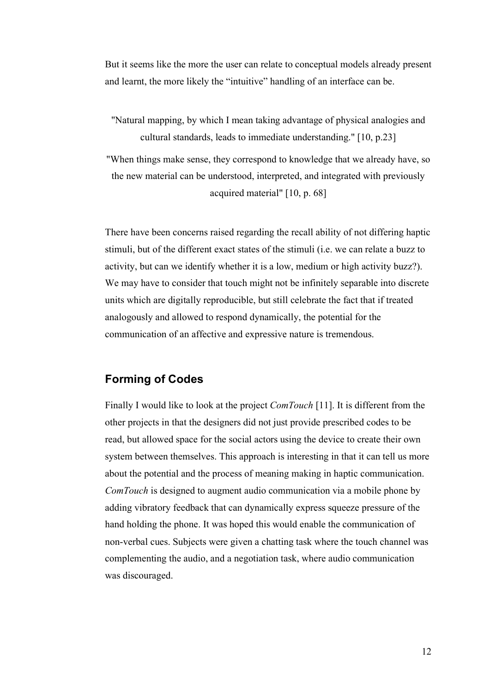But it seems like the more the user can relate to conceptual models already present and learnt, the more likely the "intuitive" handling of an interface can be.

"Natural mapping, by which I mean taking advantage of physical analogies and cultural standards, leads to immediate understanding." [10, p.23]

"When things make sense, they correspond to knowledge that we already have, so the new material can be understood, interpreted, and integrated with previously acquired material" [10, p. 68]

There have been concerns raised regarding the recall ability of not differing haptic stimuli, but of the different exact states of the stimuli (i.e. we can relate a buzz to activity, but can we identify whether it is a low, medium or high activity buzz?). We may have to consider that touch might not be infinitely separable into discrete units which are digitally reproducible, but still celebrate the fact that if treated analogously and allowed to respond dynamically, the potential for the communication of an affective and expressive nature is tremendous.

# **Forming of Codes**

Finally I would like to look at the project *ComTouch* [11]. It is different from the other projects in that the designers did not just provide prescribed codes to be read, but allowed space for the social actors using the device to create their own system between themselves. This approach is interesting in that it can tell us more about the potential and the process of meaning making in haptic communication. *ComTouch* is designed to augment audio communication via a mobile phone by adding vibratory feedback that can dynamically express squeeze pressure of the hand holding the phone. It was hoped this would enable the communication of non-verbal cues. Subjects were given a chatting task where the touch channel was complementing the audio, and a negotiation task, where audio communication was discouraged.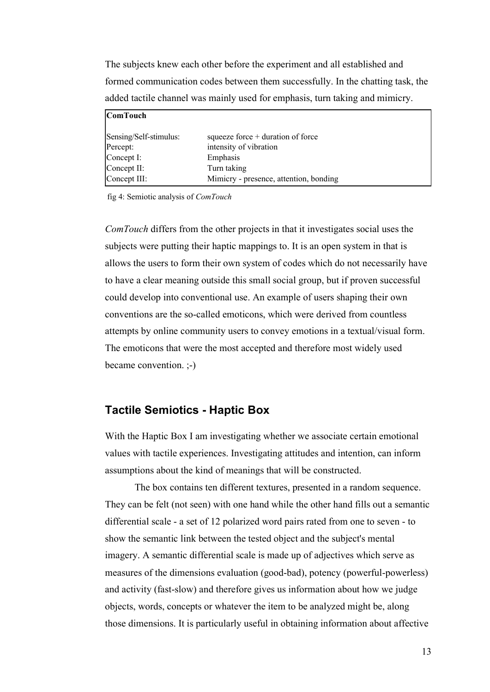The subjects knew each other before the experiment and all established and formed communication codes between them successfully. In the chatting task, the added tactile channel was mainly used for emphasis, turn taking and mimicry.

| <b>ComTouch</b>        |                                        |
|------------------------|----------------------------------------|
| Sensing/Self-stimulus: | squeeze force $+$ duration of force    |
| Percept:               | intensity of vibration                 |
| $\text{Concept I}:$    | Emphasis                               |
| $\text{Concept II}:$   | Turn taking                            |
| Concept III:           | Mimicry - presence, attention, bonding |

fig 4: Semiotic analysis of *ComTouch*

*ComTouch* differs from the other projects in that it investigates social uses the subjects were putting their haptic mappings to. It is an open system in that is allows the users to form their own system of codes which do not necessarily have to have a clear meaning outside this small social group, but if proven successful could develop into conventional use. An example of users shaping their own conventions are the so-called emoticons, which were derived from countless attempts by online community users to convey emotions in a textual/visual form. The emoticons that were the most accepted and therefore most widely used became convention. ;-)

### **Tactile Semiotics - Haptic Box**

With the Haptic Box I am investigating whether we associate certain emotional values with tactile experiences. Investigating attitudes and intention, can inform assumptions about the kind of meanings that will be constructed.

The box contains ten different textures, presented in a random sequence. They can be felt (not seen) with one hand while the other hand fills out a semantic differential scale - a set of 12 polarized word pairs rated from one to seven - to show the semantic link between the tested object and the subject's mental imagery. A semantic differential scale is made up of adjectives which serve as measures of the dimensions evaluation (good-bad), potency (powerful-powerless) and activity (fast-slow) and therefore gives us information about how we judge objects, words, concepts or whatever the item to be analyzed might be, along those dimensions. It is particularly useful in obtaining information about affective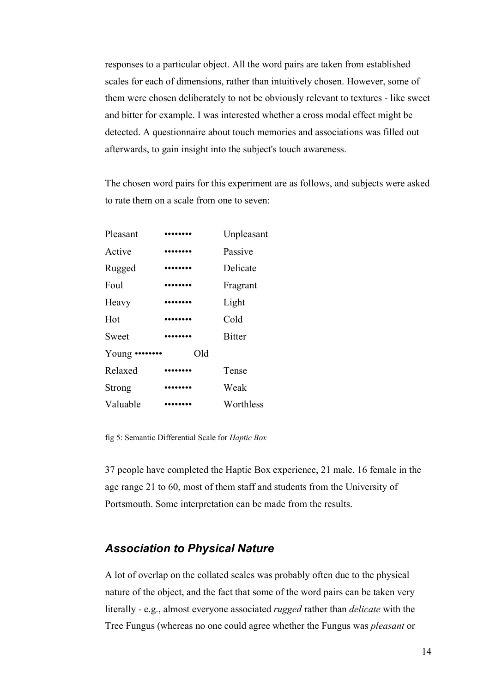responses to a particular object. All the word pairs are taken from established scales for each of dimensions, rather than intuitively chosen. However, some of them were chosen deliberately to not be obviously relevant to textures - like sweet and bitter for example. I was interested whether a cross modal effect might be detected. A questionnaire about touch memories and associations was filled out afterwards, to gain insight into the subject's touch awareness.

The chosen word pairs for this experiment are as follows, and subjects were asked to rate them on a scale from one to seven:

| Pleasant       |                                              | Unpleasant    |
|----------------|----------------------------------------------|---------------|
| Active         | .                                            | Passive       |
| Rugged         | $\bullet\bullet\bullet\bullet\bullet\bullet$ | Delicate      |
| Foul           | .                                            | Fragrant      |
| Heavy          |                                              | Light         |
| Hot            |                                              | Cold          |
| Sweet          |                                              | <b>Bitter</b> |
| Young $\cdots$ | Old                                          |               |
| Relaxed        |                                              | Tense         |
| Strong         |                                              | Weak          |
| Valuable       |                                              | Worthless     |

fig 5: Semantic Differential Scale for *Haptic Box*

37 people have completed the Haptic Box experience, 21 male, 16 female in the age range 21 to 60, most of them staff and students from the University of Portsmouth. Some interpretation can be made from the results.

### *Association to Physical Nature*

A lot of overlap on the collated scales was probably often due to the physical nature of the object, and the fact that some of the word pairs can be taken very literally - e.g., almost everyone associated *rugged* rather than *delicate* with the Tree Fungus (whereas no one could agree whether the Fungus was *pleasant* or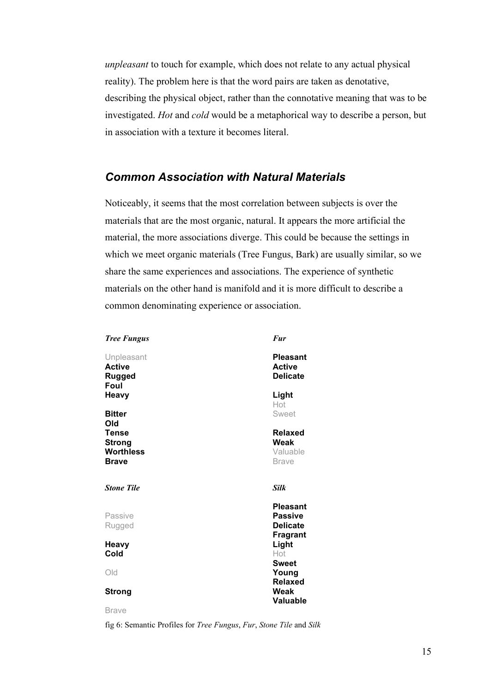*unpleasant* to touch for example, which does not relate to any actual physical reality). The problem here is that the word pairs are taken as denotative, describing the physical object, rather than the connotative meaning that was to be investigated. *Hot* and *cold* would be a metaphorical way to describe a person, but in association with a texture it becomes literal.

# *Common Association with Natural Materials*

Noticeably, it seems that the most correlation between subjects is over the materials that are the most organic, natural. It appears the more artificial the material, the more associations diverge. This could be because the settings in which we meet organic materials (Tree Fungus, Bark) are usually similar, so we share the same experiences and associations. The experience of synthetic materials on the other hand is manifold and it is more difficult to describe a common denominating experience or association.

| <b>Tree Fungus</b>                                         | <b>Fur</b>                                                              |
|------------------------------------------------------------|-------------------------------------------------------------------------|
| Unpleasant<br><b>Active</b><br><b>Rugged</b><br>Foul       | <b>Pleasant</b><br><b>Active</b><br><b>Delicate</b>                     |
| <b>Heavy</b>                                               | Light<br>Hot                                                            |
| <b>Bitter</b><br>Old                                       | Sweet                                                                   |
| <b>Tense</b><br><b>Strong</b><br><b>Worthless</b><br>Brave | <b>Relaxed</b><br>Weak<br>Valuable<br><b>Brave</b>                      |
| <b>Stone Tile</b>                                          | Silk                                                                    |
| Passive<br>Rugged                                          | <b>Pleasant</b><br><b>Passive</b><br><b>Delicate</b><br><b>Fragrant</b> |
| Heavy<br>Cold                                              | Light<br>Hot                                                            |
| Old                                                        | <b>Sweet</b><br>Young                                                   |
| <b>Strong</b>                                              | <b>Relaxed</b><br>Weak<br><b>Valuable</b>                               |

Brave

fig 6: Semantic Profiles for *Tree Fungus*, *Fur*, *Stone Tile* and *Silk*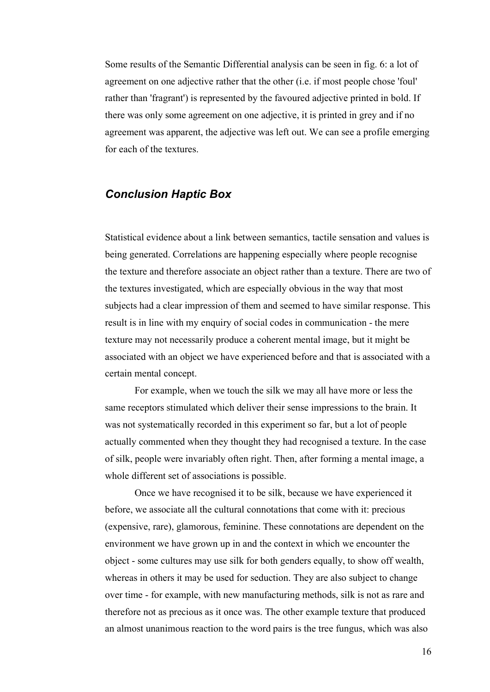Some results of the Semantic Differential analysis can be seen in fig. 6: a lot of agreement on one adjective rather that the other (i.e. if most people chose 'foul' rather than 'fragrant') is represented by the favoured adjective printed in bold. If there was only some agreement on one adjective, it is printed in grey and if no agreement was apparent, the adjective was left out. We can see a profile emerging for each of the textures.

# *Conclusion Haptic Box*

Statistical evidence about a link between semantics, tactile sensation and values is being generated. Correlations are happening especially where people recognise the texture and therefore associate an object rather than a texture. There are two of the textures investigated, which are especially obvious in the way that most subjects had a clear impression of them and seemed to have similar response. This result is in line with my enquiry of social codes in communication - the mere texture may not necessarily produce a coherent mental image, but it might be associated with an object we have experienced before and that is associated with a certain mental concept.

For example, when we touch the silk we may all have more or less the same receptors stimulated which deliver their sense impressions to the brain. It was not systematically recorded in this experiment so far, but a lot of people actually commented when they thought they had recognised a texture. In the case of silk, people were invariably often right. Then, after forming a mental image, a whole different set of associations is possible.

Once we have recognised it to be silk, because we have experienced it before, we associate all the cultural connotations that come with it: precious (expensive, rare), glamorous, feminine. These connotations are dependent on the environment we have grown up in and the context in which we encounter the object - some cultures may use silk for both genders equally, to show off wealth, whereas in others it may be used for seduction. They are also subject to change over time - for example, with new manufacturing methods, silk is not as rare and therefore not as precious as it once was. The other example texture that produced an almost unanimous reaction to the word pairs is the tree fungus, which was also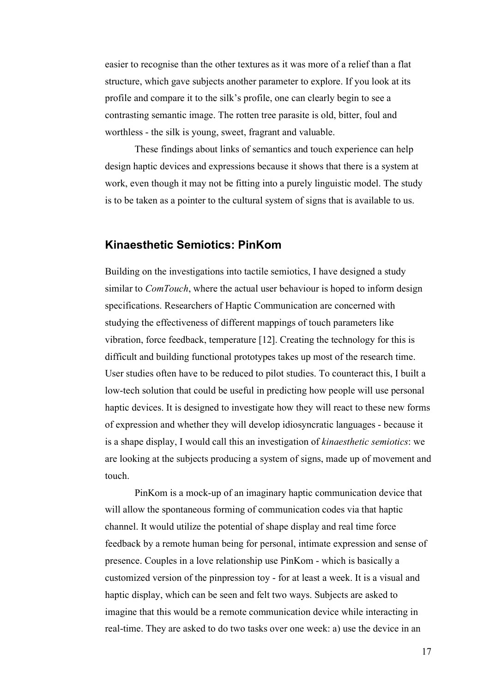easier to recognise than the other textures as it was more of a relief than a flat structure, which gave subjects another parameter to explore. If you look at its profile and compare it to the silk's profile, one can clearly begin to see a contrasting semantic image. The rotten tree parasite is old, bitter, foul and worthless - the silk is young, sweet, fragrant and valuable.

These findings about links of semantics and touch experience can help design haptic devices and expressions because it shows that there is a system at work, even though it may not be fitting into a purely linguistic model. The study is to be taken as a pointer to the cultural system of signs that is available to us.

### **Kinaesthetic Semiotics: PinKom**

Building on the investigations into tactile semiotics, I have designed a study similar to *ComTouch*, where the actual user behaviour is hoped to inform design specifications. Researchers of Haptic Communication are concerned with studying the effectiveness of different mappings of touch parameters like vibration, force feedback, temperature [12]. Creating the technology for this is difficult and building functional prototypes takes up most of the research time. User studies often have to be reduced to pilot studies. To counteract this, I built a low-tech solution that could be useful in predicting how people will use personal haptic devices. It is designed to investigate how they will react to these new forms of expression and whether they will develop idiosyncratic languages - because it is a shape display, I would call this an investigation of *kinaesthetic semiotics*: we are looking at the subjects producing a system of signs, made up of movement and touch.

PinKom is a mock-up of an imaginary haptic communication device that will allow the spontaneous forming of communication codes via that haptic channel. It would utilize the potential of shape display and real time force feedback by a remote human being for personal, intimate expression and sense of presence. Couples in a love relationship use PinKom - which is basically a customized version of the pinpression toy - for at least a week. It is a visual and haptic display, which can be seen and felt two ways. Subjects are asked to imagine that this would be a remote communication device while interacting in real-time. They are asked to do two tasks over one week: a) use the device in an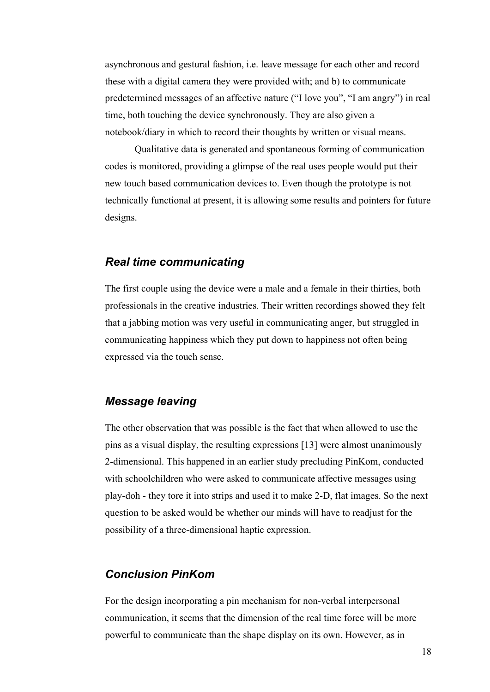asynchronous and gestural fashion, i.e. leave message for each other and record these with a digital camera they were provided with; and b) to communicate predetermined messages of an affective nature ("I love you", "I am angry") in real time, both touching the device synchronously. They are also given a notebook/diary in which to record their thoughts by written or visual means.

Qualitative data is generated and spontaneous forming of communication codes is monitored, providing a glimpse of the real uses people would put their new touch based communication devices to. Even though the prototype is not technically functional at present, it is allowing some results and pointers for future designs.

### *Real time communicating*

The first couple using the device were a male and a female in their thirties, both professionals in the creative industries. Their written recordings showed they felt that a jabbing motion was very useful in communicating anger, but struggled in communicating happiness which they put down to happiness not often being expressed via the touch sense.

## *Message leaving*

The other observation that was possible is the fact that when allowed to use the pins as a visual display, the resulting expressions [13] were almost unanimously 2-dimensional. This happened in an earlier study precluding PinKom, conducted with schoolchildren who were asked to communicate affective messages using play-doh - they tore it into strips and used it to make 2-D, flat images. So the next question to be asked would be whether our minds will have to readjust for the possibility of a three-dimensional haptic expression.

### *Conclusion PinKom*

For the design incorporating a pin mechanism for non-verbal interpersonal communication, it seems that the dimension of the real time force will be more powerful to communicate than the shape display on its own. However, as in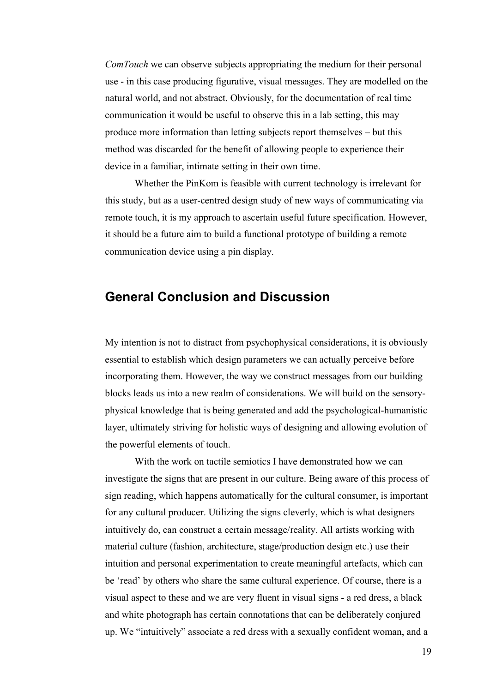*ComTouch* we can observe subjects appropriating the medium for their personal use - in this case producing figurative, visual messages. They are modelled on the natural world, and not abstract. Obviously, for the documentation of real time communication it would be useful to observe this in a lab setting, this may produce more information than letting subjects report themselves – but this method was discarded for the benefit of allowing people to experience their device in a familiar, intimate setting in their own time.

Whether the PinKom is feasible with current technology is irrelevant for this study, but as a user-centred design study of new ways of communicating via remote touch, it is my approach to ascertain useful future specification. However, it should be a future aim to build a functional prototype of building a remote communication device using a pin display.

# **General Conclusion and Discussion**

My intention is not to distract from psychophysical considerations, it is obviously essential to establish which design parameters we can actually perceive before incorporating them. However, the way we construct messages from our building blocks leads us into a new realm of considerations. We will build on the sensoryphysical knowledge that is being generated and add the psychological-humanistic layer, ultimately striving for holistic ways of designing and allowing evolution of the powerful elements of touch.

With the work on tactile semiotics I have demonstrated how we can investigate the signs that are present in our culture. Being aware of this process of sign reading, which happens automatically for the cultural consumer, is important for any cultural producer. Utilizing the signs cleverly, which is what designers intuitively do, can construct a certain message/reality. All artists working with material culture (fashion, architecture, stage/production design etc.) use their intuition and personal experimentation to create meaningful artefacts, which can be 'read' by others who share the same cultural experience. Of course, there is a visual aspect to these and we are very fluent in visual signs - a red dress, a black and white photograph has certain connotations that can be deliberately conjured up. We "intuitively" associate a red dress with a sexually confident woman, and a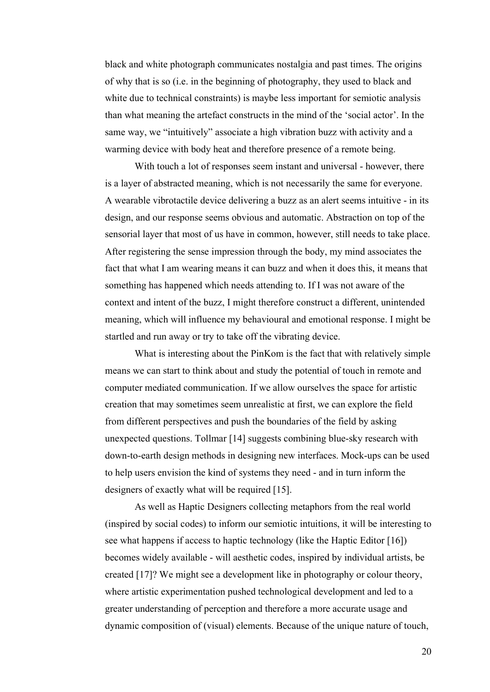black and white photograph communicates nostalgia and past times. The origins of why that is so (i.e. in the beginning of photography, they used to black and white due to technical constraints) is maybe less important for semiotic analysis than what meaning the artefact constructs in the mind of the 'social actor'. In the same way, we "intuitively" associate a high vibration buzz with activity and a warming device with body heat and therefore presence of a remote being.

With touch a lot of responses seem instant and universal - however, there is a layer of abstracted meaning, which is not necessarily the same for everyone. A wearable vibrotactile device delivering a buzz as an alert seems intuitive - in its design, and our response seems obvious and automatic. Abstraction on top of the sensorial layer that most of us have in common, however, still needs to take place. After registering the sense impression through the body, my mind associates the fact that what I am wearing means it can buzz and when it does this, it means that something has happened which needs attending to. If I was not aware of the context and intent of the buzz, I might therefore construct a different, unintended meaning, which will influence my behavioural and emotional response. I might be startled and run away or try to take off the vibrating device.

What is interesting about the PinKom is the fact that with relatively simple means we can start to think about and study the potential of touch in remote and computer mediated communication. If we allow ourselves the space for artistic creation that may sometimes seem unrealistic at first, we can explore the field from different perspectives and push the boundaries of the field by asking unexpected questions. Tollmar [14] suggests combining blue-sky research with down-to-earth design methods in designing new interfaces. Mock-ups can be used to help users envision the kind of systems they need - and in turn inform the designers of exactly what will be required [15].

As well as Haptic Designers collecting metaphors from the real world (inspired by social codes) to inform our semiotic intuitions, it will be interesting to see what happens if access to haptic technology (like the Haptic Editor [16]) becomes widely available - will aesthetic codes, inspired by individual artists, be created [17]? We might see a development like in photography or colour theory, where artistic experimentation pushed technological development and led to a greater understanding of perception and therefore a more accurate usage and dynamic composition of (visual) elements. Because of the unique nature of touch,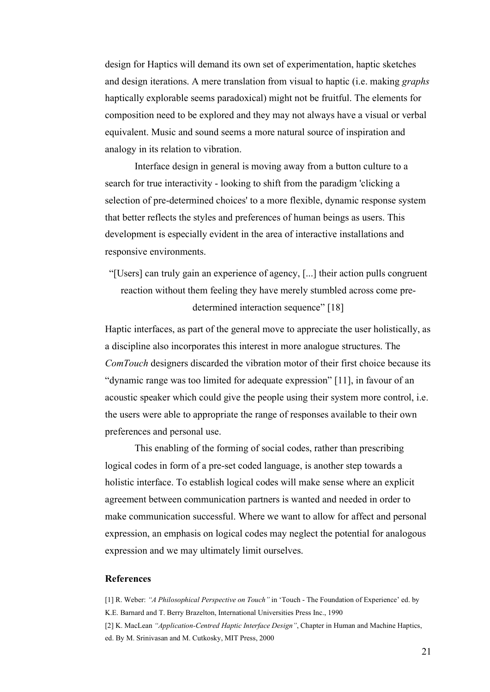design for Haptics will demand its own set of experimentation, haptic sketches and design iterations. A mere translation from visual to haptic (i.e. making *graphs* haptically explorable seems paradoxical) might not be fruitful. The elements for composition need to be explored and they may not always have a visual or verbal equivalent. Music and sound seems a more natural source of inspiration and analogy in its relation to vibration.

Interface design in general is moving away from a button culture to a search for true interactivity - looking to shift from the paradigm 'clicking a selection of pre-determined choices' to a more flexible, dynamic response system that better reflects the styles and preferences of human beings as users. This development is especially evident in the area of interactive installations and responsive environments.

"[Users] can truly gain an experience of agency, [...] their action pulls congruent reaction without them feeling they have merely stumbled across come predetermined interaction sequence" [18]

Haptic interfaces, as part of the general move to appreciate the user holistically, as a discipline also incorporates this interest in more analogue structures. The *ComTouch* designers discarded the vibration motor of their first choice because its "dynamic range was too limited for adequate expression" [11], in favour of an acoustic speaker which could give the people using their system more control, i.e. the users were able to appropriate the range of responses available to their own preferences and personal use.

This enabling of the forming of social codes, rather than prescribing logical codes in form of a pre-set coded language, is another step towards a holistic interface. To establish logical codes will make sense where an explicit agreement between communication partners is wanted and needed in order to make communication successful. Where we want to allow for affect and personal expression, an emphasis on logical codes may neglect the potential for analogous expression and we may ultimately limit ourselves.

### **References**

[1] R. Weber: *"A Philosophical Perspective on Touch"* in 'Touch - The Foundation of Experience' ed. by K.E. Barnard and T. Berry Brazelton, International Universities Press Inc., 1990 [2] K. MacLean *"Application-Centred Haptic Interface Design"*, Chapter in Human and Machine Haptics,

ed. By M. Srinivasan and M. Cutkosky, MIT Press, 2000